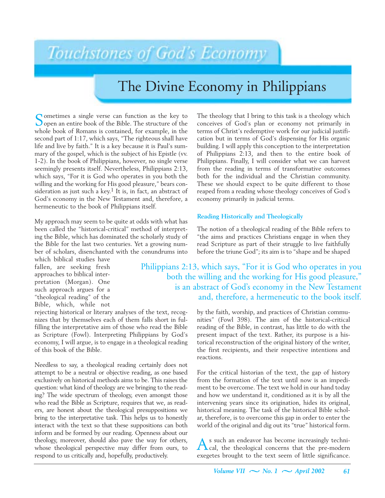# Touchstones of God's Economy

# The Divine Economy in Philippians

Sometimes a single verse can function as the key to Sopen an entire book of the Bible. The structure of the whole book of Romans is contained, for example, in the second part of 1:17, which says, "The righteous shall have life and live by faith." It is a key because it is Paul's summary of the gospel, which is the subject of his Epistle (vv. 1-2). In the book of Philippians, however, no single verse seemingly presents itself. Nevertheless, Philippians 2:13, which says, "For it is God who operates in you both the willing and the working for His good pleasure," bears consideration as just such a key.<sup>1</sup> It is, in fact, an abstract of God's economy in the New Testament and, therefore, a hermeneutic to the book of Philippians itself.

My approach may seem to be quite at odds with what has been called the "historical-critical" method of interpreting the Bible, which has dominated the scholarly study of the Bible for the last two centuries. Yet a growing number of scholars, disenchanted with the conundrums into

which biblical studies have fallen, are seeking fresh approaches to biblical interpretation (Morgan). One such approach argues for a "theological reading" of the Bible, which, while not

rejecting historical or literary analyses of the text, recognizes that by themselves each of them falls short in fulfilling the interpretative aim of those who read the Bible as Scripture (Fowl). Interpreting Philippians by God's economy, I will argue, is to engage in a theological reading of this book of the Bible.

Needless to say, a theological reading certainly does not attempt to be a neutral or objective reading, as one based exclusively on historical methods aims to be. This raises the question: what kind of theology are we bringing to the reading? The wide spectrum of theology, even amongst those who read the Bible as Scripture, requires that we, as readers, are honest about the theological presuppositions we bring to the interpretative task. This helps us to honestly interact with the text so that these suppositions can both inform and be formed by our reading. Openness about our theology, moreover, should also pave the way for others, whose theological perspective may differ from ours, to respond to us critically and, hopefully, productively.

The theology that I bring to this task is a theology which conceives of God's plan or economy not primarily in terms of Christ's redemptive work for our judicial justification but in terms of God's dispensing for His organic building. I will apply this conception to the interpretation of Philippians 2:13, and then to the entire book of Philippians. Finally, I will consider what we can harvest from the reading in terms of transformative outcomes both for the individual and the Christian community. These we should expect to be quite different to those reaped from a reading whose theology conceives of God's economy primarily in judicial terms.

#### **Reading Historically and Theologically**

The notion of a theological reading of the Bible refers to "the aims and practices Christians engage in when they read Scripture as part of their struggle to live faithfully before the triune God"; its aim is to "shape and be shaped

### Philippians 2:13, which says, "For it is God who operates in you both the willing and the working for His good pleasure," is an abstract of God's economy in the New Testament and, therefore, a hermeneutic to the book itself.

by the faith, worship, and practices of Christian communities" (Fowl 398). The aim of the historical-critical reading of the Bible, in contrast, has little to do with the present impact of the text. Rather, its purpose is a historical reconstruction of the original history of the writer, the first recipients, and their respective intentions and reactions.

For the critical historian of the text, the gap of history from the formation of the text until now is an impediment to be overcome. The text we hold in our hand today and how we understand it, conditioned as it is by all the intervening years since its origination, hides its original, historical meaning. The task of the historical Bible scholar, therefore, is to overcome this gap in order to enter the world of the original and dig out its "true" historical form.

As such an endeavor has become increasingly techni-cal, the theological concerns that the pre-modern exegetes brought to the text seem of little significance.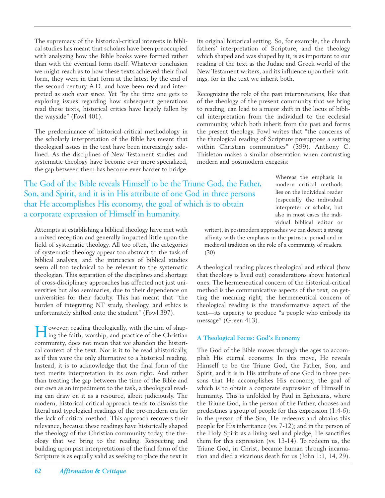The supremacy of the historical-critical interests in biblical studies has meant that scholars have been preoccupied with analyzing how the Bible books were formed rather than with the eventual form itself. Whatever conclusion we might reach as to how these texts achieved their final form, they were in that form at the latest by the end of the second century A.D. and have been read and interpreted as such ever since. Yet "by the time one gets to exploring issues regarding how subsequent generations read these texts, historical critics have largely fallen by the wayside" (Fowl 401).

The predominance of historical-critical methodology in the scholarly interpretation of the Bible has meant that theological issues in the text have been increasingly sidelined. As the disciplines of New Testament studies and systematic theology have become ever more specialized, the gap between them has become ever harder to bridge.

The God of the Bible reveals Himself to be the Triune God, the Father, Son, and Spirit, and it is in His attribute of one God in three persons that He accomplishes His economy, the goal of which is to obtain a corporate expression of Himself in humanity.

Attempts at establishing a biblical theology have met with a mixed reception and generally impacted little upon the field of systematic theology. All too often, the categories of systematic theology appear too abstract to the task of biblical analysis, and the intricacies of biblical studies seem all too technical to be relevant to the systematic theologian. This separation of the disciplines and shortage of cross-disciplinary approaches has affected not just universities but also seminaries, due to their dependence on universities for their faculty. This has meant that "the burden of integrating NT study, theology, and ethics is unfortunately shifted onto the student" (Fowl 397).

However, reading theologically, with the aim of shap-ing the faith, worship, and practice of the Christian community, does not mean that we abandon the historical context of the text. Nor is it to be read ahistorically, as if this were the only alternative to a historical reading. Instead, it is to acknowledge that the final form of the text merits interpretation in its own right. And rather than treating the gap between the time of the Bible and our own as an impediment to the task, a theological reading can draw on it as a resource, albeit judiciously. The modern, historical-critical approach tends to dismiss the literal and typological readings of the pre-modern era for the lack of critical method. This approach recovers their relevance, because these readings have historically shaped the theology of the Christian community today, the theology that we bring to the reading. Respecting and building upon past interpretations of the final form of the Scripture is as equally valid as seeking to place the text in

its original historical setting. So, for example, the church fathers' interpretation of Scripture, and the theology which shaped and was shaped by it, is as important to our reading of the text as the Judaic and Greek world of the New Testament writers, and its influence upon their writings, for in the text we inherit both.

Recognizing the role of the past interpretations, like that of the theology of the present community that we bring to reading, can lead to a major shift in the locus of biblical interpretation from the individual to the ecclesial community, which both inherit from the past and forms the present theology. Fowl writes that "the concerns of the theological reading of Scripture presuppose a setting within Christian communities" (399). Anthony C. Thisleton makes a similar observation when contrasting modern and postmodern exegesis:

> Whereas the emphasis in modern critical methods lies on the individual reader (especially the individual interpreter or scholar, but also in most cases the individual biblical editor or

writer), in postmodern approaches we can detect a strong affinity with the emphasis in the patristic period and in medieval tradition on the role of a community of readers. (30)

A theological reading places theological and ethical (how that theology is lived out) considerations above historical ones. The hermeneutical concern of the historical-critical method is the communicative aspects of the text, on getting the meaning right; the hermeneutical concern of theological reading is the transformative aspect of the text—its capacity to produce "a people who embody its message" (Green 413).

#### **A Theological Focus: God's Economy**

The God of the Bible moves through the ages to accomplish His eternal economy. In this move, He reveals Himself to be the Triune God, the Father, Son, and Spirit, and it is in His attribute of one God in three persons that He accomplishes His economy, the goal of which is to obtain a corporate expression of Himself in humanity. This is unfolded by Paul in Ephesians, where the Triune God, in the person of the Father, chooses and predestines a group of people for this expression (1:4-6); in the person of the Son, He redeems and obtains this people for His inheritance (vv. 7-12); and in the person of the Holy Spirit as a living seal and pledge, He sanctifies them for this expression (vv. 13-14). To redeem us, the Triune God, in Christ, became human through incarnation and died a vicarious death for us (John 1:1, 14, 29).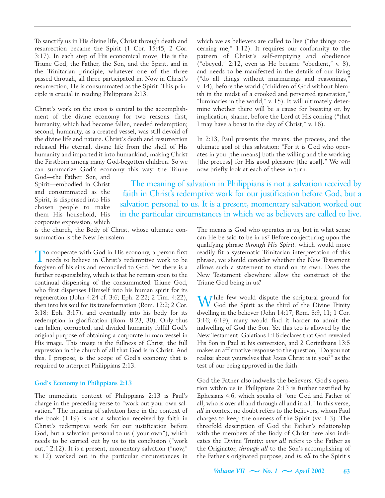To sanctify us in His divine life, Christ through death and resurrection became the Spirit (1 Cor. 15:45; 2 Cor. 3:17). In each step of His economical move, He is the Triune God, the Father, the Son, and the Spirit, and in the Trinitarian principle, whatever one of the three passed through, all three participated in. Now in Christ's resurrection, He is consummated as the Spirit. This principle is crucial in reading Philippians 2:13.

Christ's work on the cross is central to the accomplishment of the divine economy for two reasons: first, humanity, which had become fallen, needed redemption; second, humanity, as a created vessel, was still devoid of the divine life and nature. Christ's death and resurrection released His eternal, divine life from the shell of His humanity and imparted it into humankind, making Christ the Firstborn among many God-begotten children. So we can summarize God's economy this way: the Triune

God—the Father, Son, and Spirit—embodied in Christ and consummated as the Spirit, is dispensed into His chosen people to make them His household, His corporate expression, which

is the church, the Body of Christ, whose ultimate consummation is the New Jerusalem.

To cooperate with God in His economy, a person first needs to believe in Christ's redemptive work to be forgiven of his sins and reconciled to God. Yet there is a further responsibility, which is that he remain open to the continual dispensing of the consummated Triune God, who first dispenses Himself into his human spirit for its regeneration (John 4:24 cf. 3:6; Eph. 2:22; 2 Tim. 4:22), then into his soul for its transformation (Rom. 12:2; 2 Cor. 3:18; Eph. 3:17), and eventually into his body for its redemption in glorification (Rom. 8:23, 30). Only thus can fallen, corrupted, and divided humanity fulfill God's original purpose of obtaining a corporate human vessel in His image. This image is the fullness of Christ, the full expression in the church of all that God is in Christ. And this, I propose, is the scope of God's economy that is required to interpret Philippians 2:13.

#### **God's Economy in Philippians 2:13**

The immediate context of Philippians 2:13 is Paul's charge in the preceding verse to "work out your own salvation." The meaning of salvation here in the context of the book (1:19) is not a salvation received by faith in Christ's redemptive work for our justification before God, but a salvation personal to us ("your own"), which needs to be carried out by us to its conclusion ("work out," 2:12). It is a present, momentary salvation ("now," v. 12) worked out in the particular circumstances in

which we as believers are called to live ("the things concerning me," 1:12). It requires our conformity to the pattern of Christ's self-emptying and obedience ("obeyed," 2:12, even as He became "obedient," v. 8), and needs to be manifested in the details of our living ("do all things without murmurings and reasonings," v. 14), before the world ("children of God without blemish in the midst of a crooked and perverted generation," "luminaries in the world," v. 15). It will ultimately determine whether there will be a cause for boasting or, by implication, shame, before the Lord at His coming ("that I may have a boast in the day of Christ," v. 16).

In 2:13, Paul presents the means, the process, and the ultimate goal of this salvation: "For it is God who operates in you [the means] both the willing and the working [the process] for His good pleasure [the goal]." We will now briefly look at each of these in turn.

The meaning of salvation in Philippians is not a salvation received by faith in Christ's redemptive work for our justification before God, but a salvation personal to us. It is a present, momentary salvation worked out in the particular circumstances in which we as believers are called to live.

> The means is God who operates in us, but in what sense can He be said to be in us? Before conjecturing upon the qualifying phrase *through His Spirit,* which would more readily fit a systematic Trinitarian interpretation of this phrase, we should consider whether the New Testament allows such a statement to stand on its own. Does the New Testament elsewhere allow the construct of the Triune God being in us?

> While few would dispute the scriptural ground for God the Spirit as the third of the Divine Trinity dwelling in the believer (John 14:17; Rom. 8:9, 11; 1 Cor. 3:16; 6:19), many would find it harder to admit the indwelling of God the Son. Yet this too is allowed by the New Testament. Galatians 1:16 declares that God revealed His Son in Paul at his conversion, and 2 Corinthians 13:5 makes an affirmative response to the question, "Do you not realize about yourselves that Jesus Christ is in you?" as the test of our being approved in the faith.

> God the Father also indwells the believers. God's operation within us in Philippians 2:13 is further testified by Ephesians 4:6, which speaks of "one God and Father of all, who is over all and through all and in all." In this verse, *all* in context no doubt refers to the believers, whom Paul charges to keep the oneness of the Spirit (vv. 1-3). The threefold description of God the Father's relationship with the members of the Body of Christ here also indicates the Divine Trinity: *over all* refers to the Father as the Originator, *through all* to the Son's accomplishing of the Father's originated purpose, and *in all* to the Spirit's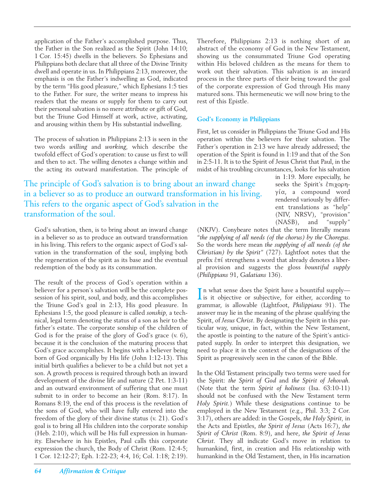application of the Father's accomplished purpose. Thus, the Father in the Son realized as the Spirit (John 14:10; 1 Cor. 15:45) dwells in the believers. So Ephesians and Philippians both declare that all three of the Divine Trinity dwell and operate in us. In Philippians 2:13, moreover, the emphasis is on the Father's indwelling as God, indicated by the term "His good pleasure," which Ephesians 1:5 ties to the Father. For sure, the writer means to impress his readers that the means or supply for them to carry out their personal salvation is no mere attribute or gift of God, but the Triune God Himself at work, active, activating, and arousing within them by His substantial indwelling.

The process of salvation in Philippians 2:13 is seen in the two words *willing* and *working,* which describe the twofold effect of God's operation: to cause us first to will and then to act. The willing denotes a change within and the acting its outward manifestation. The principle of

The principle of God's salvation is to bring about an inward change in a believer so as to produce an outward transformation in his living. This refers to the organic aspect of God's salvation in the transformation of the soul.

God's salvation, then, is to bring about an inward change in a believer so as to produce an outward transformation in his living. This refers to the organic aspect of God's salvation in the transformation of the soul, implying both the regeneration of the spirit as its base and the eventual redemption of the body as its consummation.

The result of the process of God's operation within a believer for a person's salvation will be the complete possession of his spirit, soul, and body, and this accomplishes the Triune God's goal in 2:13, His good pleasure. In Ephesians 1:5, the good pleasure is called *sonship,* a technical, legal term denoting the status of a son as heir to the father's estate. The corporate sonship of the children of God is for the praise of the glory of God's grace (v. 6), because it is the conclusion of the maturing process that God's grace accomplishes. It begins with a believer being born of God organically by His life (John 1:12-13). This initial birth qualifies a believer to be a child but not yet a son. A growth process is required through both an inward development of the divine life and nature (2 Pet. 1:3-11) and an outward environment of suffering that one must submit to in order to become an heir (Rom. 8:17). In Romans 8:19, the end of this process is the revelation of the sons of God, who will have fully entered into the freedom of the glory of their divine status (v. 21). God's goal is to bring all His children into the corporate sonship (Heb. 2:10), which will be His full expression in humanity. Elsewhere in his Epistles, Paul calls this corporate expression the church, the Body of Christ (Rom. 12:4-5; 1 Cor. 12:12-27; Eph. 1:22-23; 4:4, 16; Col. 1:18; 2:19).

Therefore, Philippians 2:13 is nothing short of an abstract of the economy of God in the New Testament, showing us the consummated Triune God operating within His beloved children as the means for them to work out their salvation. This salvation is an inward process in the three parts of their being toward the goal of the corporate expression of God through His many matured sons. This hermeneutic we will now bring to the rest of this Epistle.

#### **God's Economy in Philippians**

First, let us consider in Philippians the Triune God and His operation within the believers for their salvation. The Father's operation in 2:13 we have already addressed; the operation of the Spirit is found in 1:19 and that of the Son in 2:5-11. It is to the Spirit of Jesus Christ that Paul, in the midst of his troubling circumstances, looks for his salvation

in 1:19. More especially, he seeks the Spirit's  $\epsilon \pi \chi$  $\gamma$ ία, a compound word rendered variously by different translations as "help" (NIV, NRSV), "provision" (NASB), and "supply"

(NKJV). Conybeare notes that the term literally means *"the supplying of all needs (of the chorus) by the Choregus.* So the words here mean *the supplying of all needs (of the Christian) by the Spirit"* (727). Lightfoot notes that the prefix  $\epsilon \pi i$  strengthens a word that already denotes a liberal provision and suggests the gloss *bountiful supply* (*Philippians* 91, *Galatians* 136).

In what sense does the Spirit have a bountiful supply—<br>is it objective or subjective, for either, according to n what sense does the Spirit have a bountiful supply grammar, is allowable (Lightfoot, *Philippians* 91). The answer may lie in the meaning of the phrase qualifying the Spirit, of *Jesus Christ.* By designating the Spirit in this particular way, unique, in fact, within the New Testament, the apostle is pointing to the nature of the Spirit's anticipated supply. In order to interpret this designation, we need to place it in the context of the designations of the Spirit as progressively seen in the canon of the Bible.

In the Old Testament principally two terms were used for the Spirit: *the Spirit of God* and *the Spirit of Jehovah.* (Note that the term *Spirit of holiness* (Isa. 63:10-11) should not be confused with the New Testament term *Holy Spirit.*) While these designations continue to be employed in the New Testament (e.g., Phil. 3:3; 2 Cor. 3:17), others are added: in the Gospels, *the Holy Spirit,* in the Acts and Epistles, *the Spirit of Jesus* (Acts 16:7), *the Spirit of Christ* (Rom. 8:9), and here, *the Spirit of Jesus Christ.* They all indicate God's move in relation to humankind, first, in creation and His relationship with humankind in the Old Testament, then, in His incarnation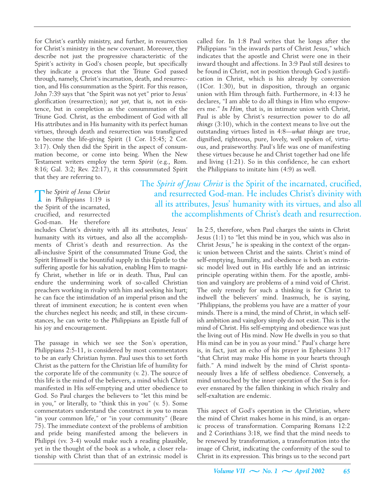for Christ's earthly ministry, and further, in resurrection for Christ's ministry in the new covenant. Moreover, they describe not just the progressive characteristic of the Spirit's activity in God's chosen people, but specifically they indicate a process that the Triune God passed through, namely, Christ's incarnation, death, and resurrection, and His consummation as the Spirit. For this reason, John 7:39 says that "the Spirit was not yet" prior to Jesus' glorification (resurrection); *not yet,* that is, not in existence, but in completion as the consummation of the Triune God. Christ, as the embodiment of God with all His attributes and in His humanity with its perfect human virtues, through death and resurrection was transfigured to become the life-giving Spirit (1 Cor. 15:45; 2 Cor. 3:17). Only then did the Spirit in the aspect of consummation become, or come into being. When the New Testament writers employ the term *Spirit* (e.g., Rom. 8:16; Gal. 3:2; Rev. 22:17), it this consummated Spirit that they are referring to.

The *Spirit of Jesus Christ* in Philippians 1:19 is the Spirit of the incarnated, crucified, and resurrected God-man. He therefore

includes Christ's divinity with all its attributes, Jesus' humanity with its virtues, and also all the accomplishments of Christ's death and resurrection. As the all-inclusive Spirit of the consummated Triune God, the Spirit Himself is the bountiful supply in this Epistle to the suffering apostle for his salvation, enabling Him to magnify Christ, whether in life or in death. Thus, Paul can endure the undermining work of so-called Christian preachers working in rivalry with him and seeking his hurt; he can face the intimidation of an imperial prison and the threat of imminent execution; he is content even when the churches neglect his needs; and still, in these circumstances, he can write to the Philippians an Epistle full of his joy and encouragement.

The passage in which we see the Son's operation, Philippians 2:5-11, is considered by most commentators to be an early Christian hymn. Paul uses this to set forth Christ as the pattern for the Christian life of humility for the corporate life of the community (v. 2). The source of this life is the mind of the believers, a mind which Christ manifested in His self-emptying and utter obedience to God. So Paul charges the believers to "let this mind be in you," or literally, to "think this in you" (v. 5). Some commentators understand the construct *in you* to mean "in your common life," or "in your community" (Beare 75). The immediate context of the problems of ambition and pride being manifested among the believers in Philippi (vv. 3-4) would make such a reading plausible, yet in the thought of the book as a whole, a closer relationship with Christ than that of an extrinsic model is

called for. In 1:8 Paul writes that he longs after the Philippians "in the inwards parts of Christ Jesus," which indicates that the apostle and Christ were one in their inward thought and affections. In 3:9 Paul still desires to be found in Christ, not in position through God's justification in Christ, which is his already by conversion (1Cor. 1:30), but in disposition, through an organic union with Him through faith. Furthermore, in 4:13 he declares, "I am able to do all things in Him who empowers me." *In Him,* that is, in intimate union with Christ, Paul is able by Christ's resurrection power to do *all things* (3:10), which in the context means to live out the outstanding virtues listed in 4:8—*what things* are true, dignified, righteous, pure, lovely, well spoken of, virtuous, and praiseworthy. Paul's life was one of manifesting these virtues because he and Christ together had one life and living (1:21). So in this confidence, he can exhort the Philippians to imitate him (4:9) as well.

## The *Spirit of Jesus Christ* is the Spirit of the incarnated, crucified, and resurrected God-man. He includes Christ's divinity with all its attributes, Jesus' humanity with its virtues, and also all the accomplishments of Christ's death and resurrection.

In 2:5, therefore, when Paul charges the saints in Christ Jesus (1:1) to "let this mind be in you, which was also in Christ Jesus," he is speaking in the context of the organic union between Christ and the saints. Christ's mind of self-emptying, humility, and obedience is both an extrinsic model lived out in His earthly life and an intrinsic principle operating within them. For the apostle, ambition and vainglory are problems of a mind void of Christ. The only remedy for such a thinking is for Christ to indwell the believers' mind. Inasmuch, he is saying, "Philippians, the problems you have are a matter of your minds. There is a mind, the mind of Christ, in which selfish ambition and vainglory simply do not exist. This is the mind of Christ. His self-emptying and obedience was just the living out of His mind. Now He dwells in you so that His mind can be in you as your mind." Paul's charge here is, in fact, just an echo of his prayer in Ephesians 3:17 "that Christ may make His home in your hearts through faith." A mind indwelt by the mind of Christ spontaneously lives a life of selfless obedience. Conversely, a mind untouched by the inner operation of the Son is forever ensnared by the fallen thinking in which rivalry and self-exaltation are endemic.

This aspect of God's operation in the Christian, where the mind of Christ makes home in his mind, is an organic process of transformation. Comparing Romans 12:2 and 2 Corinthians 3:18, we find that the mind needs to be renewed by transformation, a transformation into the image of Christ, indicating the conformity of the soul to Christ in its expression. This brings us to the second part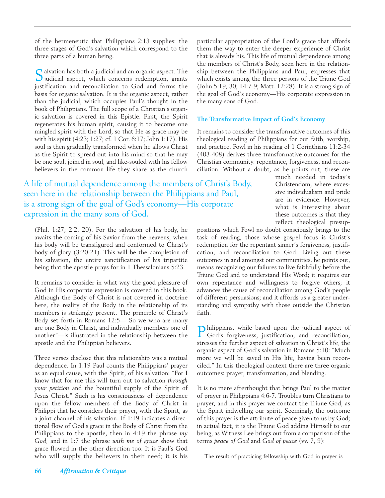of the hermeneutic that Philippians 2:13 supplies: the three stages of God's salvation which correspond to the three parts of a human being.

Salvation has both a judicial and an organic aspect. The judicial aspect, which concerns redemption, grants justification and reconciliation to God and forms the basis for organic salvation. It is the organic aspect, rather than the judicial, which occupies Paul's thought in the book of Philippians. The full scope of a Christian's organic salvation is covered in this Epistle. First, the Spirit regenerates his human spirit, causing it to become one mingled spirit with the Lord, so that He as grace may be with his spirit (4:23; 1:27; cf. 1 Cor. 6:17; John 1:17). His soul is then gradually transformed when he allows Christ as the Spirit to spread out into his mind so that he may be one soul, joined in soul, and like-souled with his fellow believers in the common life they share as the church

A life of mutual dependence among the members of Christ's Body, seen here in the relationship between the Philippians and Paul, is a strong sign of the goal of God's economy—His corporate expression in the many sons of God.

(Phil. 1:27; 2:2, 20). For the salvation of his body, he awaits the coming of his Savior from the heavens, when his body will be transfigured and conformed to Christ's body of glory (3:20-21). This will be the completion of his salvation, the entire sanctification of his tripartite being that the apostle prays for in 1 Thessalonians 5:23.

It remains to consider in what way the good pleasure of God in His corporate expression is covered in this book. Although the Body of Christ is not covered in doctrine here, the reality of the Body in the relationship of its members is strikingly present. The principle of Christ's Body set forth in Romans 12:5—"So we who are many are one Body in Christ, and individually members one of another"—is illustrated in the relationship between the apostle and the Philippian believers.

Three verses disclose that this relationship was a mutual dependence. In 1:19 Paul counts the Philippians' prayer as an equal cause, with the Spirit, of his salvation: "For I know that for me this will turn out to salvation *through your petition* and the bountiful supply of the Spirit of Jesus Christ." Such is his consciousness of dependence upon the fellow members of the Body of Christ in Philippi that he considers their prayer, with the Spirit, as a joint channel of his salvation. If 1:19 indicates a directional flow of God's grace in the Body of Christ from the Philippians to the apostle, then in 4:19 the phrase *my God,* and in 1:7 the phrase *with me of grace* show that grace flowed in the other direction too. It is Paul's God who will supply the believers in their need; it is his

particular appropriation of the Lord's grace that affords them the way to enter the deeper experience of Christ that is already his. This life of mutual dependence among the members of Christ's Body, seen here in the relationship between the Philippians and Paul, expresses that which exists among the three persons of the Triune God (John 5:19, 30; 14:7-9; Matt. 12:28). It is a strong sign of the goal of God's economy—His corporate expression in the many sons of God.

#### **The Transformative Impact of God's Economy**

It remains to consider the transformative outcomes of this theological reading of Philippians for our faith, worship, and practice. Fowl in his reading of 1 Corinthians 11:2-34 (403-408) derives three transformative outcomes for the Christian community: repentance, forgiveness, and reconciliation. Without a doubt, as he points out, these are

> much needed in today's Christendom, where excessive individualism and pride are in evidence. However, what is interesting about these outcomes is that they reflect theological presup-

positions which Fowl no doubt consciously brings to the task of reading, those whose gospel focus is Christ's redemption for the repentant sinner's forgiveness, justification, and reconciliation to God. Living out these outcomes in and amongst our communities, he points out, means recognizing our failures to live faithfully before the Triune God and to understand His Word; it requires our own repentance and willingness to forgive others; it advances the cause of reconciliation among God's people of different persuasions; and it affords us a greater understanding and sympathy with those outside the Christian faith.

Philippians, while based upon the judicial aspect of God's forgiveness, justification, and reconciliation, stresses the further aspect of salvation in Christ's life, the organic aspect of God's salvation in Romans 5:10: "Much more we will be saved in His life, having been reconciled." In this theological context there are three organic outcomes: prayer, transformation, and blending.

It is no mere afterthought that brings Paul to the matter of prayer in Philippians 4:6-7. Troubles turn Christians to prayer, and in this prayer we contact the Triune God, as the Spirit indwelling our spirit. Seemingly, the outcome of this prayer is the attribute of peace given to us by God; in actual fact, it is the Triune God adding Himself to our being, as Witness Lee brings out from a comparison of the terms *peace of God* and *God of peace* (vv. 7, 9):

The result of practicing fellowship with God in prayer is